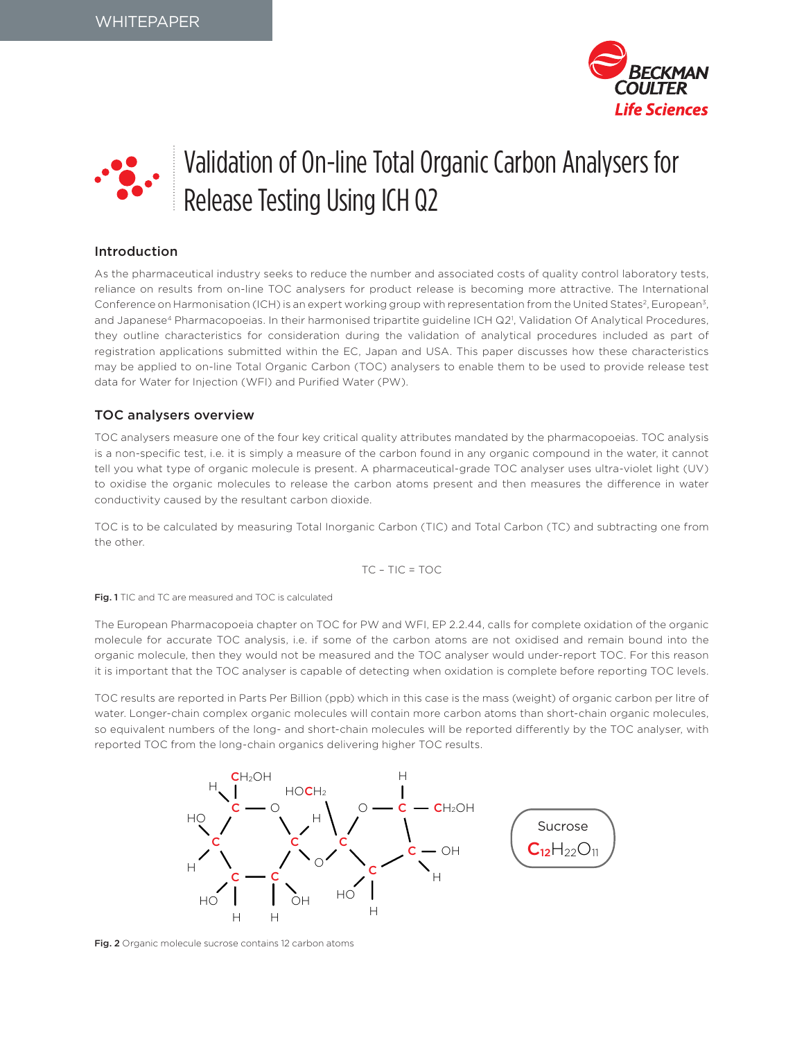



# Introduction

As the pharmaceutical industry seeks to reduce the number and associated costs of quality control laboratory tests, reliance on results from on-line TOC analysers for product release is becoming more attractive. The International Conference on Harmonisation (ICH) is an expert working group with representation from the United States<sup>2</sup>, European<sup>3</sup>, and Japanese<sup>4</sup> Pharmacopoeias. In their harmonised tripartite guideline ICH Q2<sup>1</sup>, Validation Of Analytical Procedures, they outline characteristics for consideration during the validation of analytical procedures included as part of registration applications submitted within the EC, Japan and USA. This paper discusses how these characteristics may be applied to on-line Total Organic Carbon (TOC) analysers to enable them to be used to provide release test data for Water for Injection (WFI) and Purified Water (PW).

# TOC analysers overview

TOC analysers measure one of the four key critical quality attributes mandated by the pharmacopoeias. TOC analysis is a non-specific test, i.e. it is simply a measure of the carbon found in any organic compound in the water, it cannot tell you what type of organic molecule is present. A pharmaceutical-grade TOC analyser uses ultra-violet light (UV) to oxidise the organic molecules to release the carbon atoms present and then measures the difference in water conductivity caused by the resultant carbon dioxide.

TOC is to be calculated by measuring Total Inorganic Carbon (TIC) and Total Carbon (TC) and subtracting one from the other.

$$
TC - TIC = TOC
$$

Fig. 1 TIC and TC are measured and TOC is calculated

The European Pharmacopoeia chapter on TOC for PW and WFI, EP 2.2.44, calls for complete oxidation of the organic molecule for accurate TOC analysis, i.e. if some of the carbon atoms are not oxidised and remain bound into the organic molecule, then they would not be measured and the TOC analyser would under-report TOC. For this reason it is important that the TOC analyser is capable of detecting when oxidation is complete before reporting TOC levels.

TOC results are reported in Parts Per Billion (ppb) which in this case is the mass (weight) of organic carbon per litre of water. Longer-chain complex organic molecules will contain more carbon atoms than short-chain organic molecules, so equivalent numbers of the long- and short-chain molecules will be reported differently by the TOC analyser, with reported TOC from the long-chain organics delivering higher TOC results.



Fig. 2 Organic molecule sucrose contains 12 carbon atoms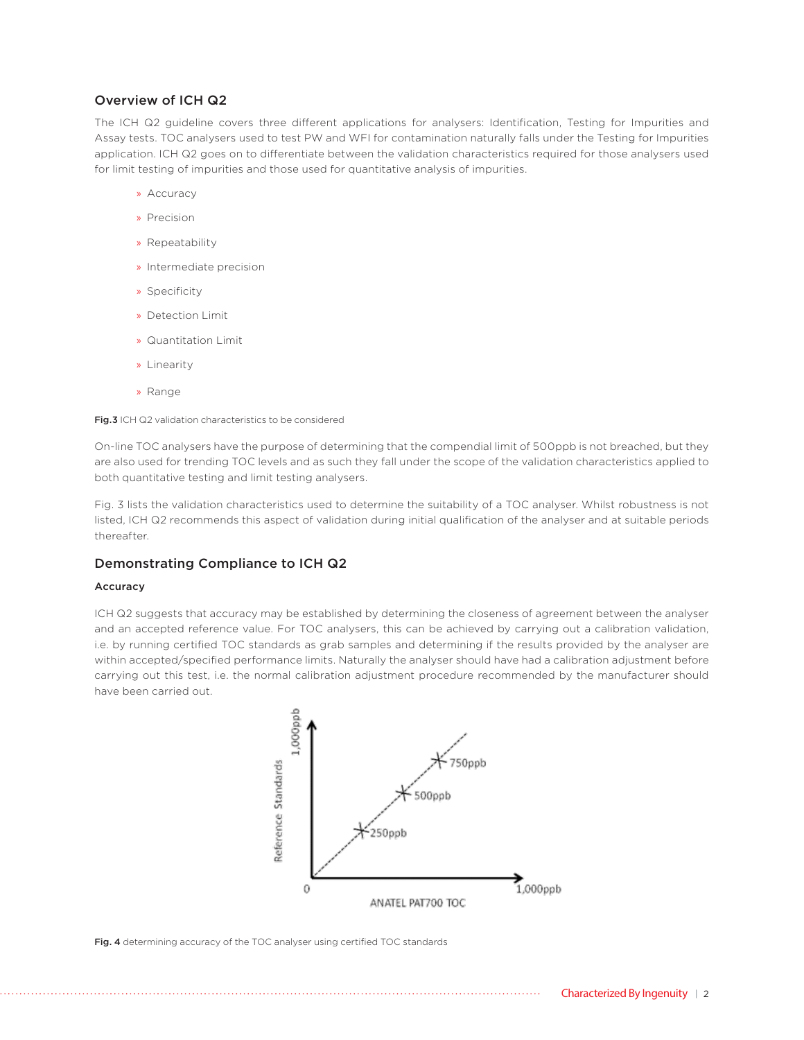## Overview of ICH Q2

The ICH Q2 guideline covers three different applications for analysers: Identification, Testing for Impurities and Assay tests. TOC analysers used to test PW and WFI for contamination naturally falls under the Testing for Impurities application. ICH Q2 goes on to differentiate between the validation characteristics required for those analysers used for limit testing of impurities and those used for quantitative analysis of impurities.

- » Accuracy
- » Precision
- » Repeatability
- » Intermediate precision
- » Specificity
- » Detection Limit
- » Quantitation Limit
- » Linearity
- » Range

Fig.3 ICH Q2 validation characteristics to be considered

On-line TOC analysers have the purpose of determining that the compendial limit of 500ppb is not breached, but they are also used for trending TOC levels and as such they fall under the scope of the validation characteristics applied to both quantitative testing and limit testing analysers.

Fig. 3 lists the validation characteristics used to determine the suitability of a TOC analyser. Whilst robustness is not listed, ICH Q2 recommends this aspect of validation during initial qualification of the analyser and at suitable periods thereafter.

## Demonstrating Compliance to ICH Q2

### Accuracy

ICH Q2 suggests that accuracy may be established by determining the closeness of agreement between the analyser and an accepted reference value. For TOC analysers, this can be achieved by carrying out a calibration validation, i.e. by running certified TOC standards as grab samples and determining if the results provided by the analyser are within accepted/specified performance limits. Naturally the analyser should have had a calibration adjustment before carrying out this test, i.e. the normal calibration adjustment procedure recommended by the manufacturer should have been carried out.



Fig. 4 determining accuracy of the TOC analyser using certified TOC standards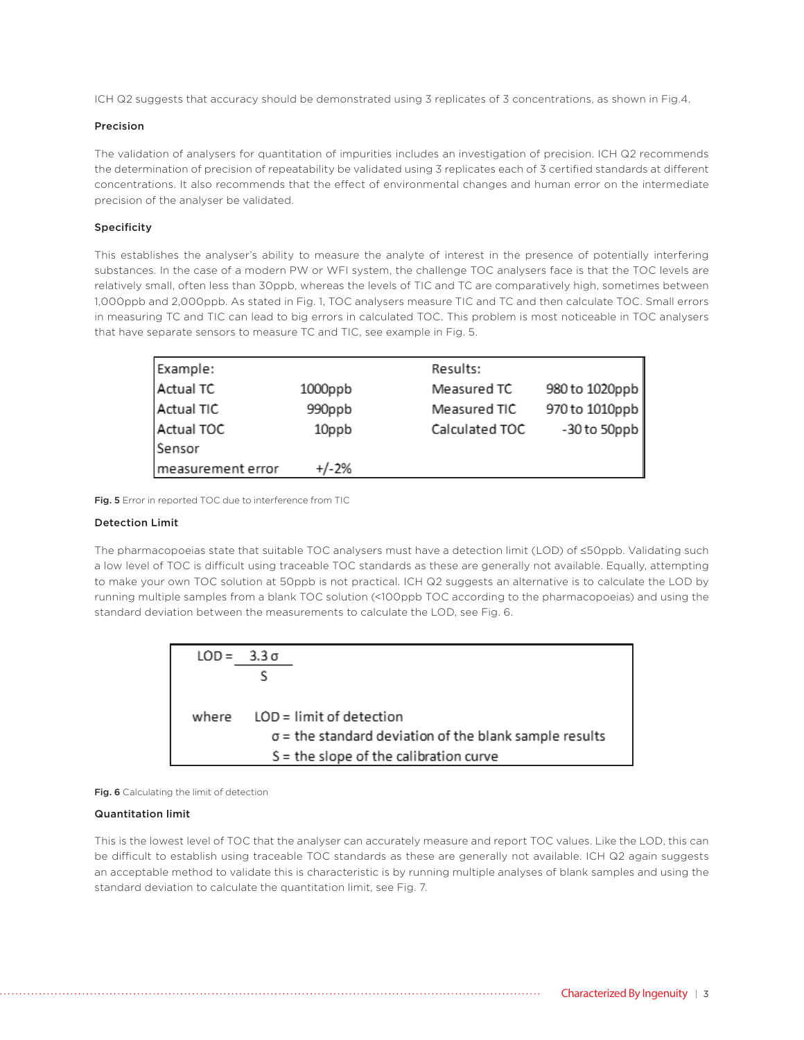ICH Q2 suggests that accuracy should be demonstrated using 3 replicates of 3 concentrations, as shown in Fig.4.

### Precision

The validation of analysers for quantitation of impurities includes an investigation of precision. ICH Q2 recommends the determination of precision of repeatability be validated using 3 replicates each of 3 certified standards at different concentrations. It also recommends that the effect of environmental changes and human error on the intermediate precision of the analyser be validated.

### Specificity

This establishes the analyser's ability to measure the analyte of interest in the presence of potentially interfering substances. In the case of a modern PW or WFI system, the challenge TOC analysers face is that the TOC levels are relatively small, often less than 30ppb, whereas the levels of TIC and TC are comparatively high, sometimes between 1,000ppb and 2,000ppb. As stated in Fig. 1, TOC analysers measure TIC and TC and then calculate TOC. Small errors in measuring TC and TIC can lead to big errors in calculated TOC. This problem is most noticeable in TOC analysers that have separate sensors to measure TC and TIC, see example in Fig. 5.

| Example:          |         | Results:                         |
|-------------------|---------|----------------------------------|
| Actual TC         | 1000ppb | 980 to 1020ppb<br>Measured TC    |
| Actual TIC        | 990ppb  | 970 to 1010ppb<br>Measured TIC   |
| Actual TOC        | 10ppb   | $-30$ to 50ppb<br>Calculated TOC |
| Sensor            |         |                                  |
| measurement error | $+/-2%$ |                                  |

Fig. 5 Error in reported TOC due to interference from TIC

### Detection Limit

The pharmacopoeias state that suitable TOC analysers must have a detection limit (LOD) of ≤50ppb. Validating such a low level of TOC is difficult using traceable TOC standards as these are generally not available. Equally, attempting to make your own TOC solution at 50ppb is not practical. ICH Q2 suggests an alternative is to calculate the LOD by running multiple samples from a blank TOC solution (<100ppb TOC according to the pharmacopoeias) and using the standard deviation between the measurements to calculate the LOD, see Fig. 6.

|       | LOD = 3.3 σ                                                   |
|-------|---------------------------------------------------------------|
|       |                                                               |
|       |                                                               |
| where | $LOD =$ limit of detection                                    |
|       | $\sigma$ = the standard deviation of the blank sample results |
|       | $S =$ the slope of the calibration curve                      |

Fig. 6 Calculating the limit of detection

### Quantitation limit

This is the lowest level of TOC that the analyser can accurately measure and report TOC values. Like the LOD, this can be difficult to establish using traceable TOC standards as these are generally not available. ICH Q2 again suggests an acceptable method to validate this is characteristic is by running multiple analyses of blank samples and using the standard deviation to calculate the quantitation limit, see Fig. 7.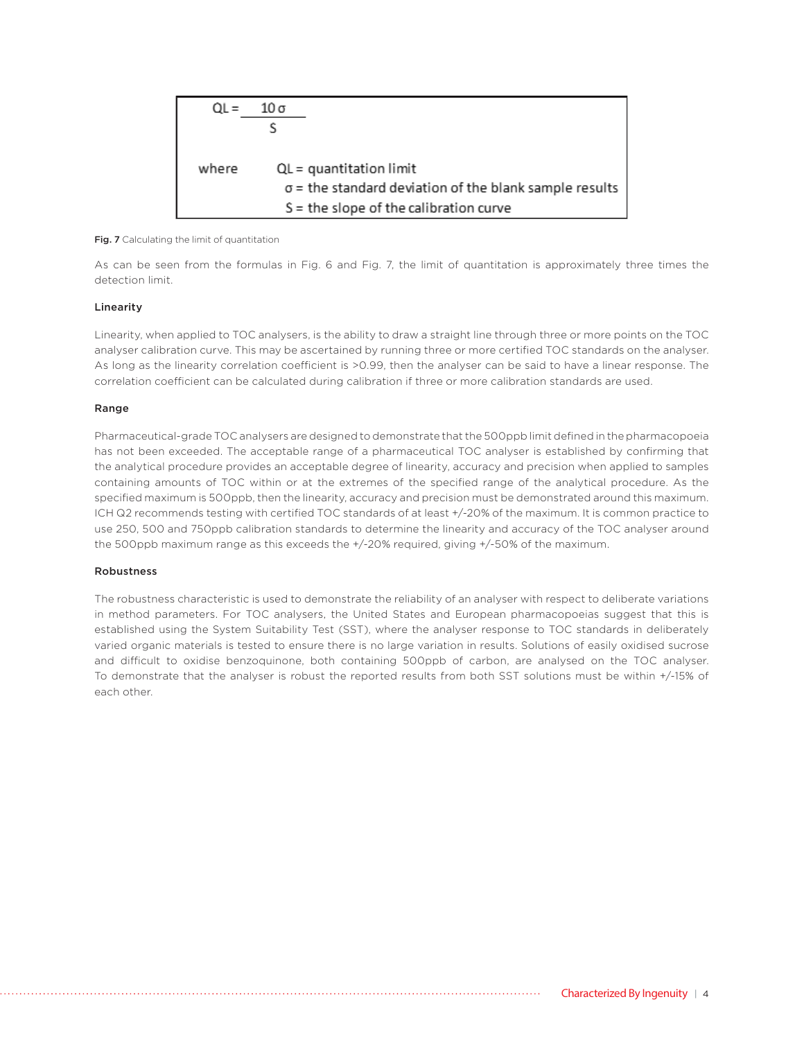

#### Fig. 7 Calculating the limit of quantitation

As can be seen from the formulas in Fig. 6 and Fig. 7, the limit of quantitation is approximately three times the detection limit.

### Linearity

Linearity, when applied to TOC analysers, is the ability to draw a straight line through three or more points on the TOC analyser calibration curve. This may be ascertained by running three or more certified TOC standards on the analyser. As long as the linearity correlation coefficient is >0.99, then the analyser can be said to have a linear response. The correlation coefficient can be calculated during calibration if three or more calibration standards are used.

#### Range

Pharmaceutical-grade TOC analysers are designed to demonstrate that the 500ppb limit defined in the pharmacopoeia has not been exceeded. The acceptable range of a pharmaceutical TOC analyser is established by confirming that the analytical procedure provides an acceptable degree of linearity, accuracy and precision when applied to samples containing amounts of TOC within or at the extremes of the specified range of the analytical procedure. As the specified maximum is 500ppb, then the linearity, accuracy and precision must be demonstrated around this maximum. ICH Q2 recommends testing with certified TOC standards of at least +/-20% of the maximum. It is common practice to use 250, 500 and 750ppb calibration standards to determine the linearity and accuracy of the TOC analyser around the 500ppb maximum range as this exceeds the +/-20% required, giving +/-50% of the maximum.

#### Robustness

The robustness characteristic is used to demonstrate the reliability of an analyser with respect to deliberate variations in method parameters. For TOC analysers, the United States and European pharmacopoeias suggest that this is established using the System Suitability Test (SST), where the analyser response to TOC standards in deliberately varied organic materials is tested to ensure there is no large variation in results. Solutions of easily oxidised sucrose and difficult to oxidise benzoquinone, both containing 500ppb of carbon, are analysed on the TOC analyser. To demonstrate that the analyser is robust the reported results from both SST solutions must be within +/-15% of each other.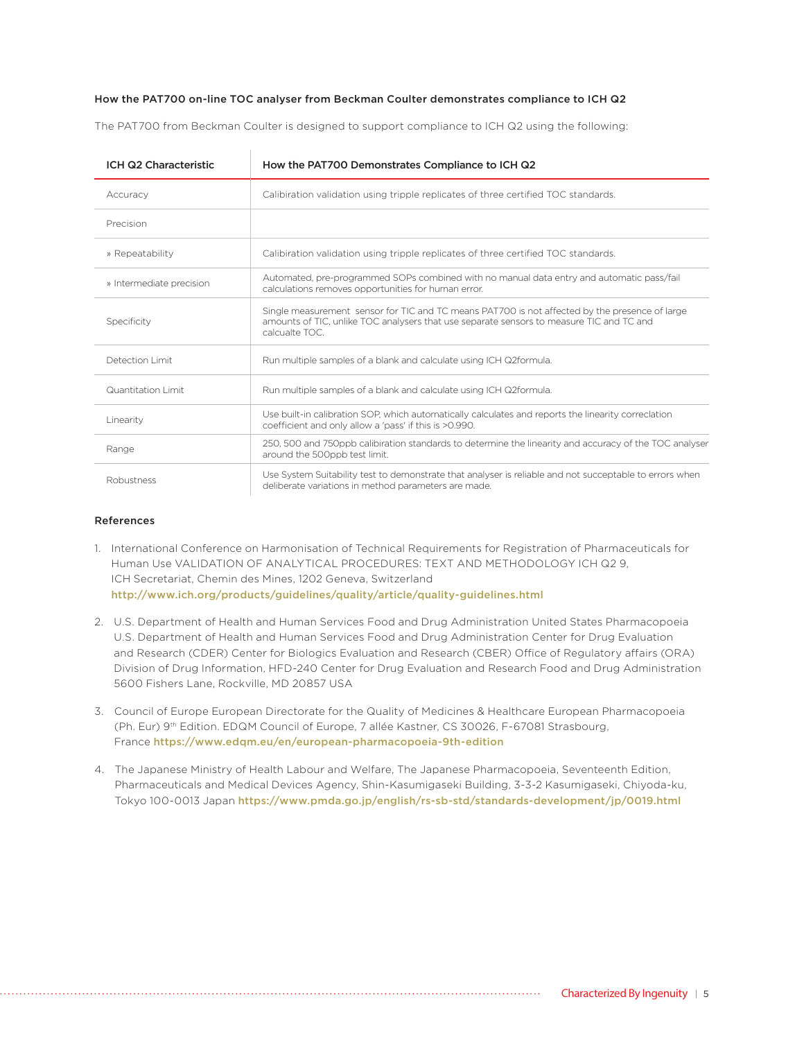### How the PAT700 on-line TOC analyser from Beckman Coulter demonstrates compliance to ICH Q2

The PAT700 from Beckman Coulter is designed to support compliance to ICH Q2 using the following:

| ICH Q2 Characteristic    | How the PAT700 Demonstrates Compliance to ICH Q2                                                                                                                                                             |  |
|--------------------------|--------------------------------------------------------------------------------------------------------------------------------------------------------------------------------------------------------------|--|
| Accuracy                 | Calibiration validation using tripple replicates of three certified TOC standards.                                                                                                                           |  |
| Precision                |                                                                                                                                                                                                              |  |
| » Repeatability          | Calibiration validation using tripple replicates of three certified TOC standards.                                                                                                                           |  |
| » Intermediate precision | Automated, pre-programmed SOPs combined with no manual data entry and automatic pass/fail<br>calculations removes opportunities for human error.                                                             |  |
| Specificity              | Single measurement sensor for TIC and TC means PAT700 is not affected by the presence of large<br>amounts of TIC, unlike TOC analysers that use separate sensors to measure TIC and TC and<br>calcualte TOC. |  |
| Detection Limit          | Run multiple samples of a blank and calculate using ICH Q2formula.                                                                                                                                           |  |
| Quantitation Limit       | Run multiple samples of a blank and calculate using ICH Q2formula.                                                                                                                                           |  |
| Linearity                | Use built-in calibration SOP, which automatically calculates and reports the linearity correclation<br>coefficient and only allow a 'pass' if this is >0.990.                                                |  |
| Range                    | 250, 500 and 750ppb calibiration standards to determine the linearity and accuracy of the TOC analyser<br>around the 500ppb test limit.                                                                      |  |
| Robustness               | Use System Suitability test to demonstrate that analyser is reliable and not succeptable to errors when<br>deliberate variations in method parameters are made.                                              |  |

#### References

- 1. International Conference on Harmonisation of Technical Requirements for Registration of Pharmaceuticals for Human Use VALIDATION OF ANALYTICAL PROCEDURES: TEXT AND METHODOLOGY ICH Q2 9, ICH Secretariat, Chemin des Mines, 1202 Geneva, Switzerland http://www.ich.org/products/guidelines/quality/article/quality-guidelines.html
- 2. U.S. Department of Health and Human Services Food and Drug Administration United States Pharmacopoeia U.S. Department of Health and Human Services Food and Drug Administration Center for Drug Evaluation and Research (CDER) Center for Biologics Evaluation and Research (CBER) Office of Regulatory affairs (ORA) Division of Drug Information, HFD-240 Center for Drug Evaluation and Research Food and Drug Administration 5600 Fishers Lane, Rockville, MD 20857 USA
- 3. Council of Europe European Directorate for the Quality of Medicines & Healthcare European Pharmacopoeia (Ph. Eur) 9th Edition. EDQM Council of Europe, 7 allée Kastner, CS 30026, F-67081 Strasbourg, France https://www.edqm.eu/en/european-pharmacopoeia-9th-edition
- 4. The Japanese Ministry of Health Labour and Welfare, The Japanese Pharmacopoeia, Seventeenth Edition, Pharmaceuticals and Medical Devices Agency, Shin-Kasumigaseki Building, 3-3-2 Kasumigaseki, Chiyoda-ku, Tokyo 100-0013 Japan https://www.pmda.go.jp/english/rs-sb-std/standards-development/jp/0019.html